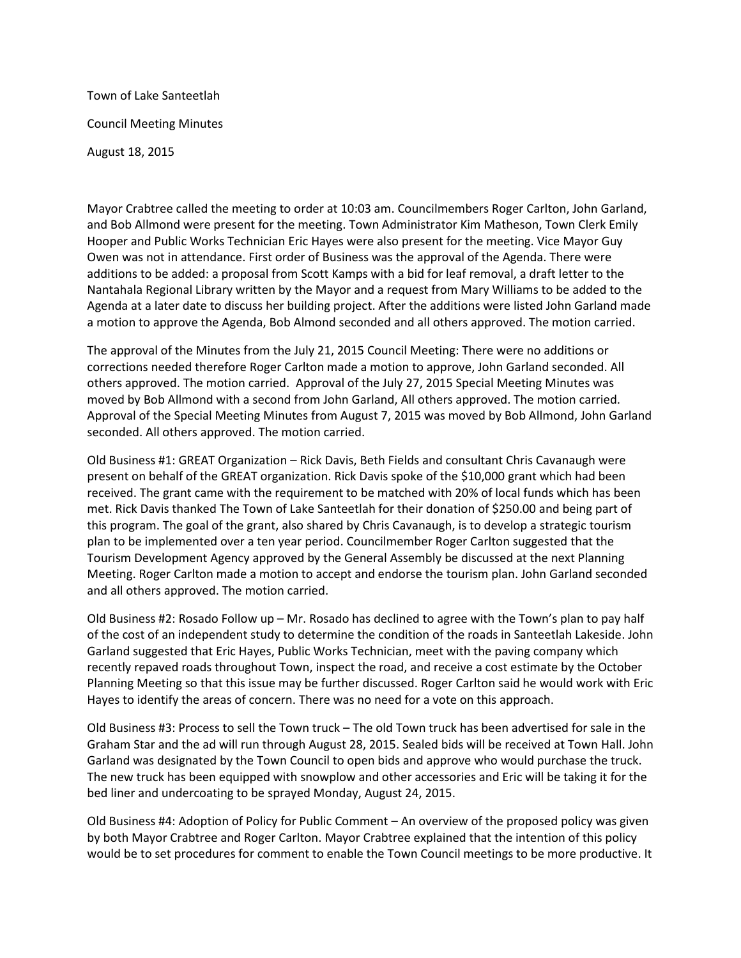Town of Lake Santeetlah Council Meeting Minutes August 18, 2015

Mayor Crabtree called the meeting to order at 10:03 am. Councilmembers Roger Carlton, John Garland, and Bob Allmond were present for the meeting. Town Administrator Kim Matheson, Town Clerk Emily Hooper and Public Works Technician Eric Hayes were also present for the meeting. Vice Mayor Guy Owen was not in attendance. First order of Business was the approval of the Agenda. There were additions to be added: a proposal from Scott Kamps with a bid for leaf removal, a draft letter to the Nantahala Regional Library written by the Mayor and a request from Mary Williams to be added to the Agenda at a later date to discuss her building project. After the additions were listed John Garland made a motion to approve the Agenda, Bob Almond seconded and all others approved. The motion carried.

The approval of the Minutes from the July 21, 2015 Council Meeting: There were no additions or corrections needed therefore Roger Carlton made a motion to approve, John Garland seconded. All others approved. The motion carried. Approval of the July 27, 2015 Special Meeting Minutes was moved by Bob Allmond with a second from John Garland, All others approved. The motion carried. Approval of the Special Meeting Minutes from August 7, 2015 was moved by Bob Allmond, John Garland seconded. All others approved. The motion carried.

Old Business #1: GREAT Organization – Rick Davis, Beth Fields and consultant Chris Cavanaugh were present on behalf of the GREAT organization. Rick Davis spoke of the \$10,000 grant which had been received. The grant came with the requirement to be matched with 20% of local funds which has been met. Rick Davis thanked The Town of Lake Santeetlah for their donation of \$250.00 and being part of this program. The goal of the grant, also shared by Chris Cavanaugh, is to develop a strategic tourism plan to be implemented over a ten year period. Councilmember Roger Carlton suggested that the Tourism Development Agency approved by the General Assembly be discussed at the next Planning Meeting. Roger Carlton made a motion to accept and endorse the tourism plan. John Garland seconded and all others approved. The motion carried.

Old Business #2: Rosado Follow up – Mr. Rosado has declined to agree with the Town's plan to pay half of the cost of an independent study to determine the condition of the roads in Santeetlah Lakeside. John Garland suggested that Eric Hayes, Public Works Technician, meet with the paving company which recently repaved roads throughout Town, inspect the road, and receive a cost estimate by the October Planning Meeting so that this issue may be further discussed. Roger Carlton said he would work with Eric Hayes to identify the areas of concern. There was no need for a vote on this approach.

Old Business #3: Process to sell the Town truck – The old Town truck has been advertised for sale in the Graham Star and the ad will run through August 28, 2015. Sealed bids will be received at Town Hall. John Garland was designated by the Town Council to open bids and approve who would purchase the truck. The new truck has been equipped with snowplow and other accessories and Eric will be taking it for the bed liner and undercoating to be sprayed Monday, August 24, 2015.

Old Business #4: Adoption of Policy for Public Comment – An overview of the proposed policy was given by both Mayor Crabtree and Roger Carlton. Mayor Crabtree explained that the intention of this policy would be to set procedures for comment to enable the Town Council meetings to be more productive. It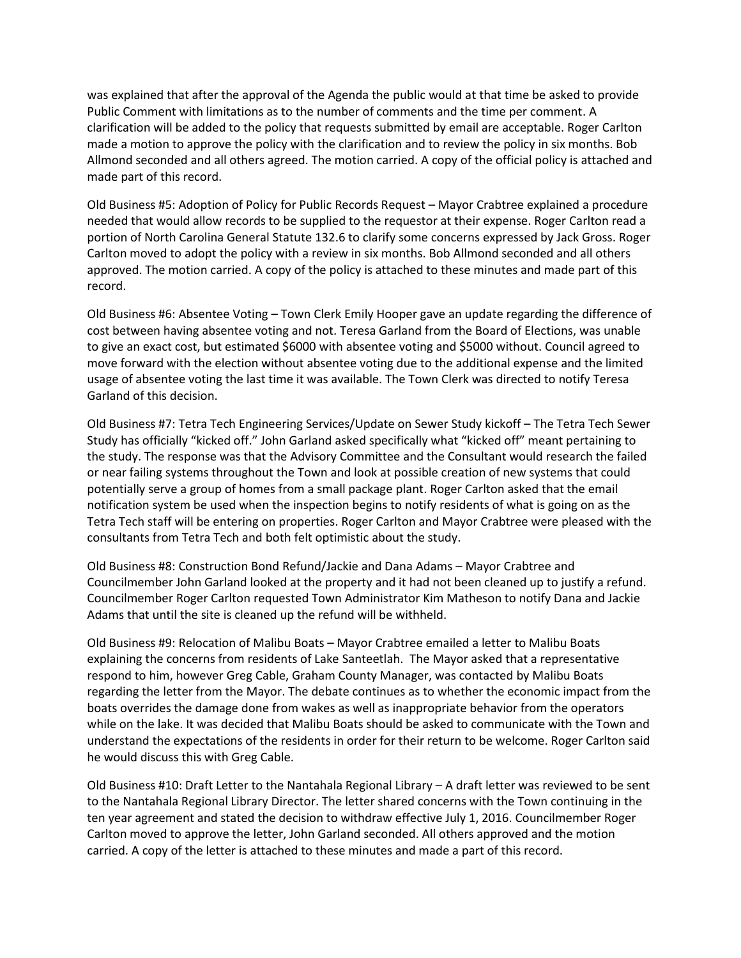was explained that after the approval of the Agenda the public would at that time be asked to provide Public Comment with limitations as to the number of comments and the time per comment. A clarification will be added to the policy that requests submitted by email are acceptable. Roger Carlton made a motion to approve the policy with the clarification and to review the policy in six months. Bob Allmond seconded and all others agreed. The motion carried. A copy of the official policy is attached and made part of this record.

Old Business #5: Adoption of Policy for Public Records Request – Mayor Crabtree explained a procedure needed that would allow records to be supplied to the requestor at their expense. Roger Carlton read a portion of North Carolina General Statute 132.6 to clarify some concerns expressed by Jack Gross. Roger Carlton moved to adopt the policy with a review in six months. Bob Allmond seconded and all others approved. The motion carried. A copy of the policy is attached to these minutes and made part of this record.

Old Business #6: Absentee Voting – Town Clerk Emily Hooper gave an update regarding the difference of cost between having absentee voting and not. Teresa Garland from the Board of Elections, was unable to give an exact cost, but estimated \$6000 with absentee voting and \$5000 without. Council agreed to move forward with the election without absentee voting due to the additional expense and the limited usage of absentee voting the last time it was available. The Town Clerk was directed to notify Teresa Garland of this decision.

Old Business #7: Tetra Tech Engineering Services/Update on Sewer Study kickoff – The Tetra Tech Sewer Study has officially "kicked off." John Garland asked specifically what "kicked off" meant pertaining to the study. The response was that the Advisory Committee and the Consultant would research the failed or near failing systems throughout the Town and look at possible creation of new systems that could potentially serve a group of homes from a small package plant. Roger Carlton asked that the email notification system be used when the inspection begins to notify residents of what is going on as the Tetra Tech staff will be entering on properties. Roger Carlton and Mayor Crabtree were pleased with the consultants from Tetra Tech and both felt optimistic about the study.

Old Business #8: Construction Bond Refund/Jackie and Dana Adams – Mayor Crabtree and Councilmember John Garland looked at the property and it had not been cleaned up to justify a refund. Councilmember Roger Carlton requested Town Administrator Kim Matheson to notify Dana and Jackie Adams that until the site is cleaned up the refund will be withheld.

Old Business #9: Relocation of Malibu Boats – Mayor Crabtree emailed a letter to Malibu Boats explaining the concerns from residents of Lake Santeetlah. The Mayor asked that a representative respond to him, however Greg Cable, Graham County Manager, was contacted by Malibu Boats regarding the letter from the Mayor. The debate continues as to whether the economic impact from the boats overrides the damage done from wakes as well as inappropriate behavior from the operators while on the lake. It was decided that Malibu Boats should be asked to communicate with the Town and understand the expectations of the residents in order for their return to be welcome. Roger Carlton said he would discuss this with Greg Cable.

Old Business #10: Draft Letter to the Nantahala Regional Library – A draft letter was reviewed to be sent to the Nantahala Regional Library Director. The letter shared concerns with the Town continuing in the ten year agreement and stated the decision to withdraw effective July 1, 2016. Councilmember Roger Carlton moved to approve the letter, John Garland seconded. All others approved and the motion carried. A copy of the letter is attached to these minutes and made a part of this record.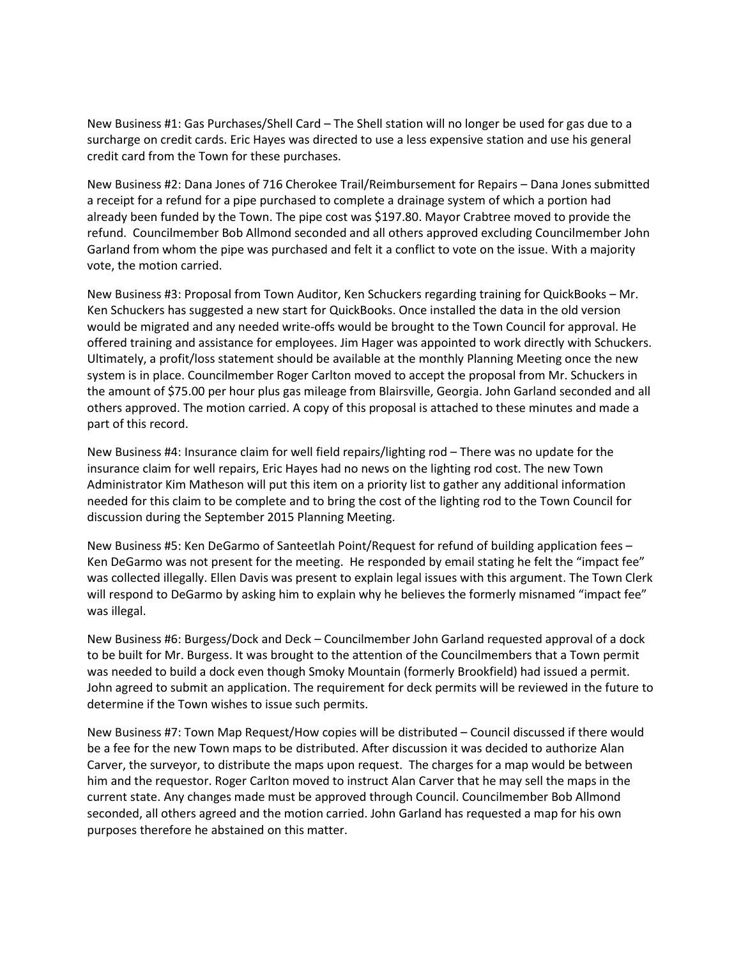New Business #1: Gas Purchases/Shell Card – The Shell station will no longer be used for gas due to a surcharge on credit cards. Eric Hayes was directed to use a less expensive station and use his general credit card from the Town for these purchases.

New Business #2: Dana Jones of 716 Cherokee Trail/Reimbursement for Repairs – Dana Jones submitted a receipt for a refund for a pipe purchased to complete a drainage system of which a portion had already been funded by the Town. The pipe cost was \$197.80. Mayor Crabtree moved to provide the refund. Councilmember Bob Allmond seconded and all others approved excluding Councilmember John Garland from whom the pipe was purchased and felt it a conflict to vote on the issue. With a majority vote, the motion carried.

New Business #3: Proposal from Town Auditor, Ken Schuckers regarding training for QuickBooks – Mr. Ken Schuckers has suggested a new start for QuickBooks. Once installed the data in the old version would be migrated and any needed write-offs would be brought to the Town Council for approval. He offered training and assistance for employees. Jim Hager was appointed to work directly with Schuckers. Ultimately, a profit/loss statement should be available at the monthly Planning Meeting once the new system is in place. Councilmember Roger Carlton moved to accept the proposal from Mr. Schuckers in the amount of \$75.00 per hour plus gas mileage from Blairsville, Georgia. John Garland seconded and all others approved. The motion carried. A copy of this proposal is attached to these minutes and made a part of this record.

New Business #4: Insurance claim for well field repairs/lighting rod – There was no update for the insurance claim for well repairs, Eric Hayes had no news on the lighting rod cost. The new Town Administrator Kim Matheson will put this item on a priority list to gather any additional information needed for this claim to be complete and to bring the cost of the lighting rod to the Town Council for discussion during the September 2015 Planning Meeting.

New Business #5: Ken DeGarmo of Santeetlah Point/Request for refund of building application fees – Ken DeGarmo was not present for the meeting. He responded by email stating he felt the "impact fee" was collected illegally. Ellen Davis was present to explain legal issues with this argument. The Town Clerk will respond to DeGarmo by asking him to explain why he believes the formerly misnamed "impact fee" was illegal.

New Business #6: Burgess/Dock and Deck – Councilmember John Garland requested approval of a dock to be built for Mr. Burgess. It was brought to the attention of the Councilmembers that a Town permit was needed to build a dock even though Smoky Mountain (formerly Brookfield) had issued a permit. John agreed to submit an application. The requirement for deck permits will be reviewed in the future to determine if the Town wishes to issue such permits.

New Business #7: Town Map Request/How copies will be distributed – Council discussed if there would be a fee for the new Town maps to be distributed. After discussion it was decided to authorize Alan Carver, the surveyor, to distribute the maps upon request. The charges for a map would be between him and the requestor. Roger Carlton moved to instruct Alan Carver that he may sell the maps in the current state. Any changes made must be approved through Council. Councilmember Bob Allmond seconded, all others agreed and the motion carried. John Garland has requested a map for his own purposes therefore he abstained on this matter.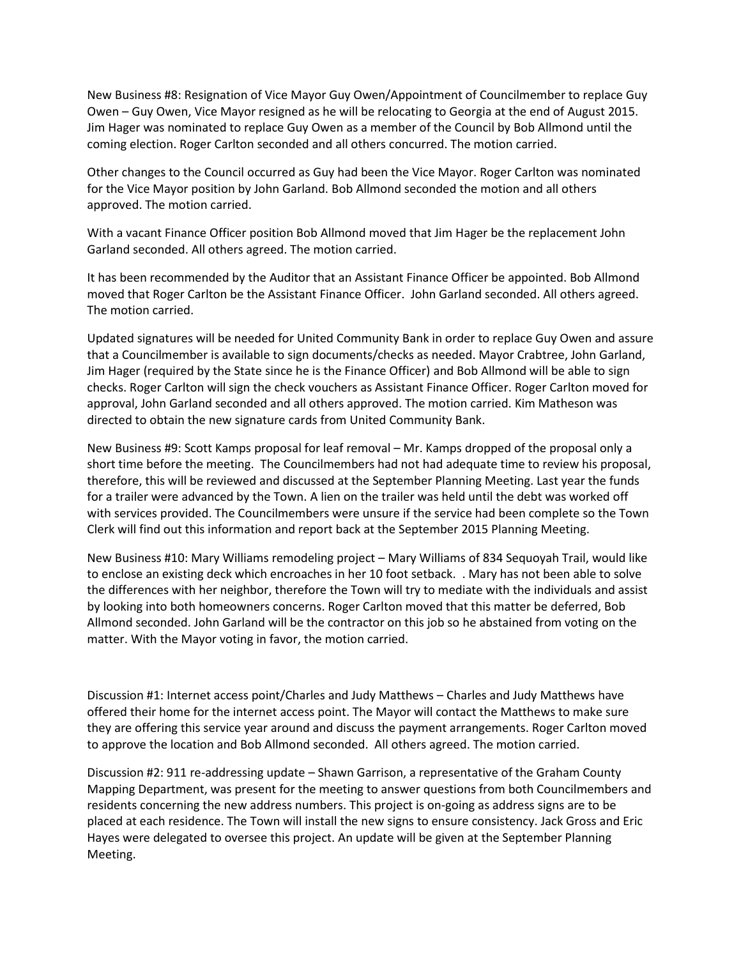New Business #8: Resignation of Vice Mayor Guy Owen/Appointment of Councilmember to replace Guy Owen – Guy Owen, Vice Mayor resigned as he will be relocating to Georgia at the end of August 2015. Jim Hager was nominated to replace Guy Owen as a member of the Council by Bob Allmond until the coming election. Roger Carlton seconded and all others concurred. The motion carried.

Other changes to the Council occurred as Guy had been the Vice Mayor. Roger Carlton was nominated for the Vice Mayor position by John Garland. Bob Allmond seconded the motion and all others approved. The motion carried.

With a vacant Finance Officer position Bob Allmond moved that Jim Hager be the replacement John Garland seconded. All others agreed. The motion carried.

It has been recommended by the Auditor that an Assistant Finance Officer be appointed. Bob Allmond moved that Roger Carlton be the Assistant Finance Officer. John Garland seconded. All others agreed. The motion carried.

Updated signatures will be needed for United Community Bank in order to replace Guy Owen and assure that a Councilmember is available to sign documents/checks as needed. Mayor Crabtree, John Garland, Jim Hager (required by the State since he is the Finance Officer) and Bob Allmond will be able to sign checks. Roger Carlton will sign the check vouchers as Assistant Finance Officer. Roger Carlton moved for approval, John Garland seconded and all others approved. The motion carried. Kim Matheson was directed to obtain the new signature cards from United Community Bank.

New Business #9: Scott Kamps proposal for leaf removal – Mr. Kamps dropped of the proposal only a short time before the meeting. The Councilmembers had not had adequate time to review his proposal, therefore, this will be reviewed and discussed at the September Planning Meeting. Last year the funds for a trailer were advanced by the Town. A lien on the trailer was held until the debt was worked off with services provided. The Councilmembers were unsure if the service had been complete so the Town Clerk will find out this information and report back at the September 2015 Planning Meeting.

New Business #10: Mary Williams remodeling project – Mary Williams of 834 Sequoyah Trail, would like to enclose an existing deck which encroaches in her 10 foot setback. . Mary has not been able to solve the differences with her neighbor, therefore the Town will try to mediate with the individuals and assist by looking into both homeowners concerns. Roger Carlton moved that this matter be deferred, Bob Allmond seconded. John Garland will be the contractor on this job so he abstained from voting on the matter. With the Mayor voting in favor, the motion carried.

Discussion #1: Internet access point/Charles and Judy Matthews – Charles and Judy Matthews have offered their home for the internet access point. The Mayor will contact the Matthews to make sure they are offering this service year around and discuss the payment arrangements. Roger Carlton moved to approve the location and Bob Allmond seconded. All others agreed. The motion carried.

Discussion #2: 911 re-addressing update – Shawn Garrison, a representative of the Graham County Mapping Department, was present for the meeting to answer questions from both Councilmembers and residents concerning the new address numbers. This project is on-going as address signs are to be placed at each residence. The Town will install the new signs to ensure consistency. Jack Gross and Eric Hayes were delegated to oversee this project. An update will be given at the September Planning Meeting.